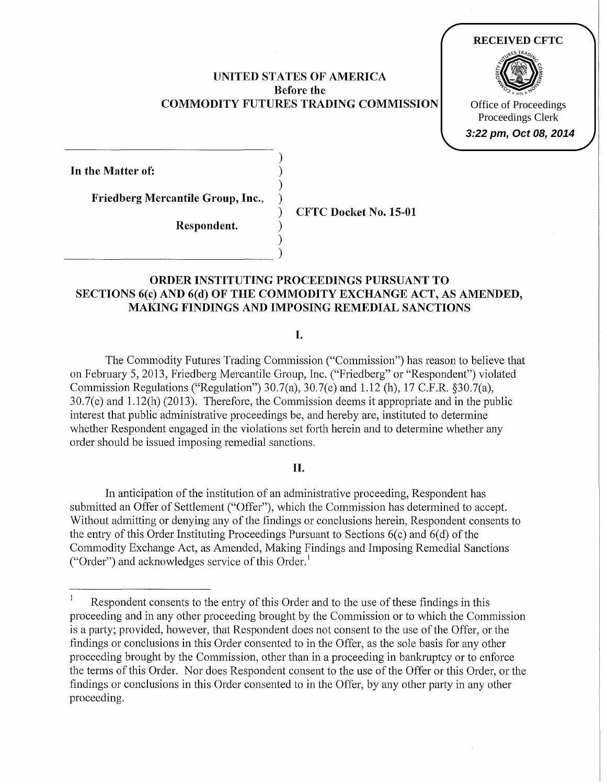## **UNITED STATES OF AMERICA Before the COMMODITY FUTURES TRADING COMMISSION**

)

)

)



Office of Proceedings Proceedings Clerk **3:22 pm, Oct 08, 2014**

**In the Matter of:** )

**Friedberg Mercantile Group, Inc.,** )

 $\frac{1}{2}$  )

**Respondent.** )

) **CFTC Docket No. 15-01** 

# **ORDER INSTITUTING PROCEEDINGS PURSUANT TO SECTIONS 6(c) AND 6(d) OF THE COMMODITY EXCHANGE ACT, AS AMENDED, MAKING FINDINGS AND IMPOSING REMEDIAL SANCTIONS**

**I.** 

The Commodity Futures Trading Commission ("Commission") has reason to believe that on February 5, 2013, Friedberg Mercantile Group, Inc. ("Friedberg" or "Respondent") violated Commission Regulations ("Regulation") 30.7(a), 30.7(e) and 1.12 (h), 17 C.F.R. §30.7(a), 30.7(e) and 1.12(h) (2013). Therefore, the Commission deems it appropriate and **in** the public interest that public administrative proceedings be, and hereby are, instituted to determine whether Respondent engaged in the violations set forth herein and to determine whether any order should be issued imposing remedial sanctions.

# **II.**

In anticipation of the institution of an administrative proceeding, Respondent has submitted an Offer of Settlement ("Offer"), which the Commission has determined to accept. Without admitting or denying any of the findings or conclusions herein, Respondent consents to the entry of this Order Instituting Proceedings Pursuant to Sections  $6(c)$  and  $6(d)$  of the Commodity Exchange Act, as Amended, Making Findings and Imposing Remedial Sanctions ("Order") and acknowledges service of this Order.<sup>1</sup>

 $\mathbf{I}$ Respondent consents to the entry of this Order and to the use of these findings in this proceeding and in any other proceeding brought by the Commission or to which the Commission is a party; provided, however, that Respondent does not consent to the use of the Offer, or the findings or conclusions in this Order consented to in the Offer, as the sole basis for any other proceeding brought by the Commission, other than in a proceeding in bankruptcy or to enforce the terms of this Order. Nor does Respondent consent to the use of the Offer or this Order, or the findings or conclusions in this Order consented to in the Offer, by any other party in any other proceeding.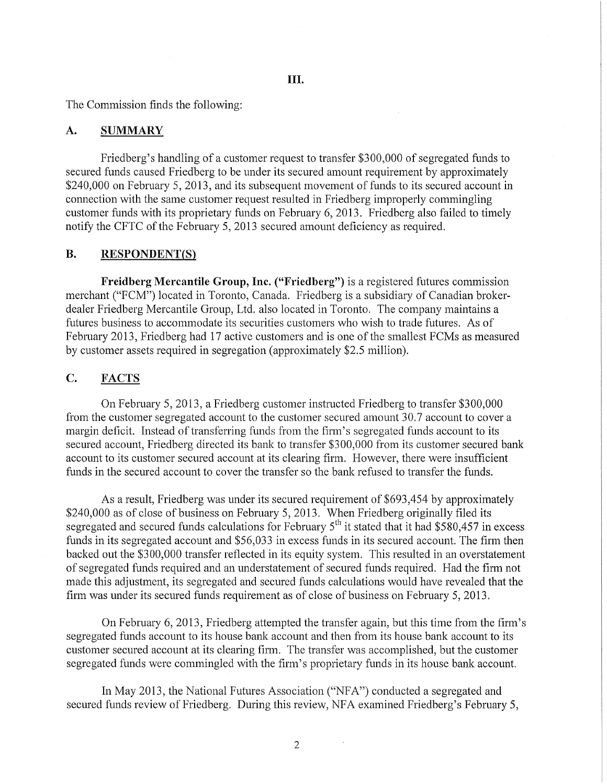The Commission finds the following:

## A. **SUMMARY**

Friedberg's handling of a customer request to transfer \$300,000 of segregated funds to secured funds caused Friedberg to be under its secured amount requirement by approximately \$240,000 on February 5, 2013, and its subsequent movement of funds to its secured account in connection with the same customer request resulted in Friedberg improperly commingling customer funds with its proprietary funds on February 6, 2013. Friedberg also failed to timely notify the CFTC of the February 5, 2013 secured amount deficiency as required.

## **B. RESPONDENT(S)**

**Freidberg Mercantile Group, Inc. ("Friedberg")** is a registered futures commission merchant ("FCM") located in Toronto, Canada. Friedberg is a subsidiary of Canadian brokerdealer Friedberg Mercantile Group, Ltd. also located in Toronto. The company maintains a futures business to accommodate its securities customers who wish to trade futures. As of February 2013, Friedberg had 17 active customers and is one of the smallest FCMs as measured by customer assets required in segregation (approximately \$2.5 million).

## **C. FACTS**

On February 5, 2013, a Friedberg customer instructed Friedberg to transfer \$300,000 from the customer segregated account to the customer secured amount 30.7 account to cover a margin deficit. Instead of transferring funds from the firm's segregated funds account to its secured account, Friedberg directed its bank to transfer \$300,000 from its customer secured bank account to its customer secured account at its clearing firm. However, there were insufficient funds in the secured account to cover the transfer so the bank refused to transfer the funds.

As a result, Friedberg was under its secured requirement of \$693,454 by approximately \$240,000 as of close of business on February 5, 2013. When Friedberg originally filed its segregated and secured funds calculations for February  $5<sup>th</sup>$  it stated that it had \$580,457 in excess funds in its segregated account and \$56,033 in excess funds in its secured account. The firm then backed out the \$300,000 transfer reflected in its equity system. This resulted in an overstatement of segregated funds required and an understatement of secured funds required. Had the firm not made this adjustment, its segregated and secured funds calculations would have revealed that the finn was under its secured funds requirement as of close of business on February 5, 2013.

On February 6, 2013, Friedberg attempted the transfer again, but this time from the firm's segregated funds account to its house bank account and then from its house bank account to its customer secured account at its clearing firm. The transfer was accomplished, but the customer segregated funds were commingled with the firm's proprietary funds in its house bank account.

In May 2013, the National Futures Association ("NFA") conducted a segregated and secured funds review of Friedberg. During this review, NFA examined Friedberg's February 5,

2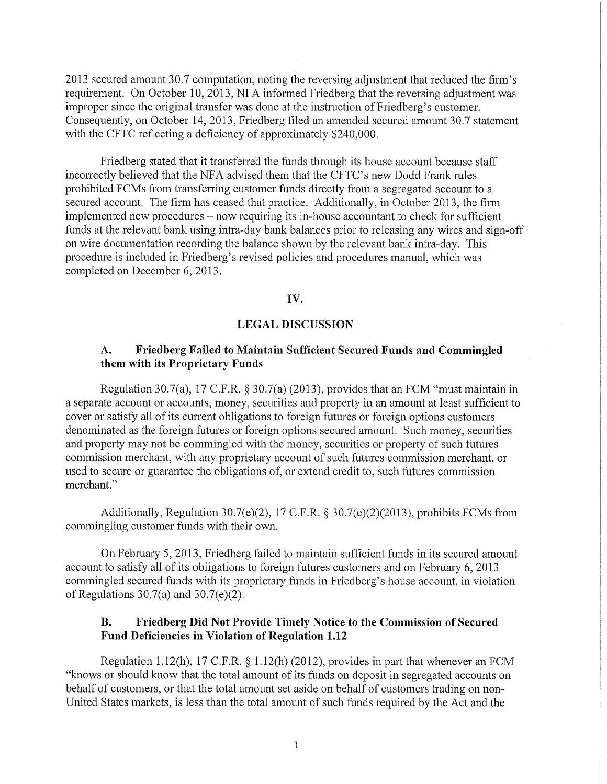2013 secured amount 30.7 computation, noting the reversing adjustment that reduced the firm's requirement. On October 10,2013, NFA informed Friedberg that the reversing adjustment was improper since the original transfer was done at the instruction of Friedberg's customer. Consequently, on October 14, 2013, Friedberg filed an amended secured amount 30.7 statement with the CFTC reflecting a deficiency of approximately \$240,000.

Friedberg stated that it transferred the funds through its house account because staff incorrectly believed that the NFA advised them that the CFTC's new Dodd Frank rules prohibited FCMs from transferring customer funds directly from a segregated account to a secured account. The firm has ceased that practice. Additionally, in October 2013, the firm implemented new procedures – now requiring its in-house accountant to check for sufficient funds at the relevant bank using intra-day bank balances prior to releasing any wires and sign-off on wire documentation recording the balance shown by the relevant bank intra-day. This procedure is included in Friedberg's revised policies and procedures manual, which was completed on December 6, 2013.

### **IV.**

#### **LEGAL DISCUSSION**

## **A. Friedberg Failed to Maintain Sufficient Secured Funds and Commingled them with its Proprietary Funds**

Regulation 30.7(a), 17 C.F.R. § 30.7(a) (2013), provides that an FCM "must maintain in a separate account or accounts, money, securities and property in an amount at least sufficient to cover or satisfy all of its current obligations to foreign futures or foreign options customers denominated as the foreign futures or foreign options secured amount. Such money, securities and property may not be commingled with the money, securities or property of such futures commission merchant, with any proprietary account of such futures commission merchant, or used to secure or guarantee the obligations of, or extend credit to, such futures commission merchant."

Additionally, Regulation 30.7(e)(2), 17 C.F.R. § 30.7(e)(2)(2013), prohibits FCMs from commingling customer funds with their own.

On February 5, 2013, Friedberg failed to maintain sufficient funds in its secured amount account to satisfy all of its obligations to foreign futures customers and on February 6, 2013 commingled secured funds with its proprietary funds in Friedberg's house account, in violation of Regulations  $30.7(a)$  and  $30.7(e)(2)$ .

# **B. Friedberg Did Not Provide Timely Notice to the Commission of Secured Fund Deficiencies in Violation of Regulation 1.12**

Regulation 1.12(h), 17 C.F.R. § 1.12(h) (2012), provides in part that whenever an FCM "knows or should know that the total amount of its funds on deposit in segregated accounts on behalf of customers, or that the total amount set aside on behalf of customers trading on non-United States markets, is less than the total amount of such funds required by the Act and the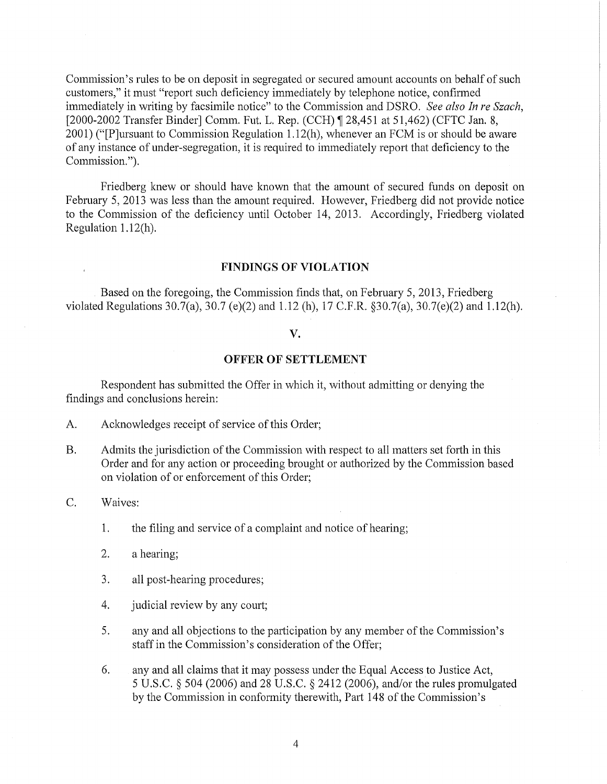Commission's rules to be on deposit in segregated or secured amount accounts on behalf of such customers," it must "report such deficiency immediately by telephone notice, confirmed immediately in writing by facsimile notice" to the Commission and DSRO. *See also In re Szach,*  [2000-2002 Transfer Binder] Comm. Fut. L. Rep. (CCH)  $\P$  28,451 at 51,462) (CFTC Jan. 8, 2001) ("[P]ursuant to Commission Regulation 1.12(h), whenever an FCM is or should be aware of any instance of under-segregation, it is required to immediately report that deficiency to the Commission.").

Friedberg knew or should have known that the amount of secured funds on deposit on February 5, 2013 was less than the amount required. However, Friedberg did not provide notice to the Commission of the deficiency until October 14, 2013. Accordingly, Friedberg violated Regulation 1.12(h).

#### **FINDINGS OF VIOLATION**

Based on the foregoing, the Commission finds that, on February 5, 2013, Friedberg violated Regulations 30.7(a), 30.7 (e)(2) and 1.12 (h), 17 C.P.R. §30.7(a), 30.7(e)(2) and 1.12(h).

#### **v.**

#### **OFFER OF SETTLEMENT**

Respondent has submitted the Offer in which it, without admitting or denying the findings and conclusions herein:

- A. Acknowledges receipt of service of this Order;
- B. Admits the jurisdiction of the Commission with respect to all matters set forth in this Order and for any action or proceeding brought or authorized by the Commission based on violation of or enforcement of this Order;
- C. Waives:
	- 1. the filing and service of a complaint and notice of hearing;
	- 2. a hearing;
	- 3. all post-hearing procedures;
	- 4. judicial review by any court;
	- 5. any and all objections to the participation by any member of the Commission's staff in the Commission's consideration of the Offer;
	- 6. any and all claims that it may possess under the Equal Access to Justice Act, 5 U.S.C. § 504 (2006) and 28 U.S.C. § 2412 (2006), and/or the rules promulgated by the Commission in conformity therewith, Part 148 of the Commission's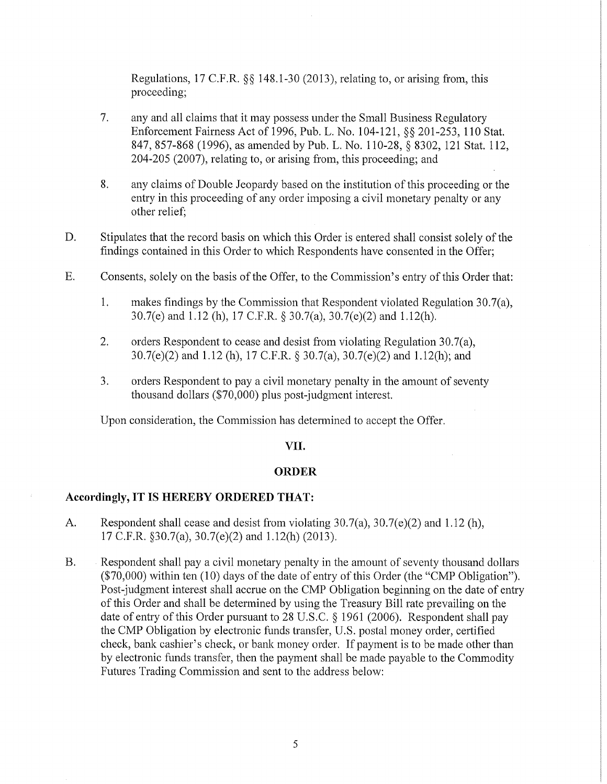Regulations, 17 C.P.R. §§ 148.1-30 (2013), relating to, or arising from, this proceeding;

- 7. any and all claims that it may possess under the Small Business Regulatory Enforcement Fairness Act of 1996, Pub. L. No. 104-121, §§ 201-253, 110 Stat. 847, 857-868 (1996), as amended by Pub. L. No. 110-28, § 8302, 121 Stat. 112, 204-205 (2007), relating to, or arising from, this proceeding; and
- 8. any claims of Double Jeopardy based on the institution of this proceeding or the entry in this proceeding of any order imposing a civil monetary penalty or any other relief;
- D. Stipulates that the record basis on which this Order is entered shall consist solely of the findings contained in this Order to which Respondents have consented in the Offer;
- E. Consents, solely on the basis of the Offer, to the Commission's entry of this Order that:
	- 1. makes findings by the Commission that Respondent violated Regulation 30.7(a), 30.7(e) and 1.12 (h), 17 C.P.R.§ 30.7(a), 30.7(e)(2) and 1.12(h).
	- 2. orders Respondent to cease and desist from violating Regulation 30.7(a), 30.7(e)(2) and 1.12 (h), 17 C.P.R. § 30.7(a), 30.7(e)(2) and 1.12(h); and
	- 3. orders Respondent to pay a civil monetary penalty in the amount of seventy thousand dollars (\$70,000) plus post-judgment interest.

Upon consideration, the Commission has determined to accept the Offer.

## VII.

## **ORDER**

## **Accordingly, IT IS HEREBY ORDERED THAT:**

- A. Respondent shall cease and desist from violating 30.7(a), 30.7(e)(2) and 1.12 (h), 17 C.P.R. §30.7(a), 30.7(e)(2) and 1.12(h) (2013).
- B. Respondent shall pay a civil monetary penalty in the amount of seventy thousand dollars  $(\$70,000)$  within ten  $(10)$  days of the date of entry of this Order (the "CMP Obligation"). Post-judgment interest shall accrue on the CMP Obligation beginning on the date of entry of this Order and shall be determined by using the Treasury Bill rate prevailing on the date of entry of this Order pursuant to 28 U.S.C. § 1961 (2006). Respondent shall pay the CMP Obligation by electronic funds transfer, U.S. postal money order, certified check, bank cashier's check, or bank money order. If payment is to be made other than by electronic funds transfer, then the payment shall be made payable to the Commodity Futures Trading Commission and sent to the address below: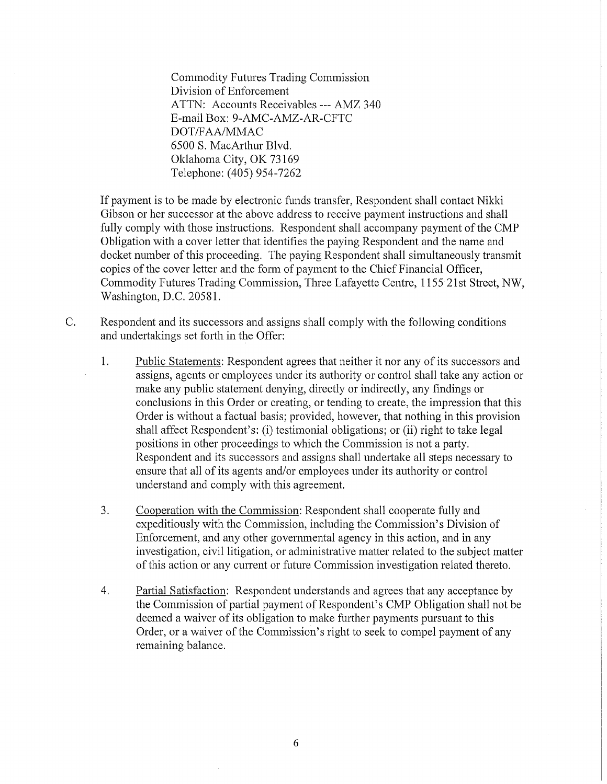Commodity Futures Trading Commission Division of Enforcement ATTN: Accounts Receivables--- AMZ 340 E-mail Box: 9-AMC-AMZ-AR-CFTC DOT/FAA/MMAC 6500 S. MacArthur Blvd. Oklahoma City, OK 73169 Telephone: (405) 954-7262

If payment is to be made by electronic funds transfer, Respondent shall contact Nikki Gibson or her successor at the above address to receive payment instructions and shall fully comply with those instructions. Respondent shall accompany payment of the CMP Obligation with a cover letter that identifies the paying Respondent and the name and docket number of this proceeding. The paying Respondent shall simultaneously transmit copies of the cover letter and the form of payment to the Chief Financial Officer, Commodity Futures Trading Commission, Three Lafayette Centre, 1155 21st Street, NW, Washington, D.C. 20581.

- C. Respondent and its successors and assigns shall comply with the following conditions and undertakings set forth in the Offer:
	- 1. Public Statements: Respondent agrees that neither it nor any of its successors and assigns, agents or employees under its authority or control shall take any action or make any public statement denying, directly or indirectly, any findings or conclusions in this Order or creating, or tending to create, the impression that this Order is without a factual basis; provided, however, that nothing in this provision shall affect Respondent's: (i) testimonial obligations; or (ii) right to take legal positions in other proceedings to which the Commission is not a party. Respondent and its successors and assigns shall undertake all steps necessary to ensure that all of its agents and/or employees under its authority or control understand and comply with this agreement.
	- 3. Cooperation with the Commission: Respondent shall cooperate fully and expeditiously with the Commission, including the Commission's Division of Enforcement, and any other governmental agency in this action, and in any investigation, civil litigation, or administrative matter related to the subject matter of this action or any current or future Commission investigation related thereto.
	- 4. Pmiial Satisfaction: Respondent understands and agrees that any acceptance by the Commission of partial payment of Respondent's CMP Obligation shall not be deemed a waiver of its obligation to make further payments pursuant to this Order, or a waiver of the Commission's right to seek to compel payment of any remaining balance.

6